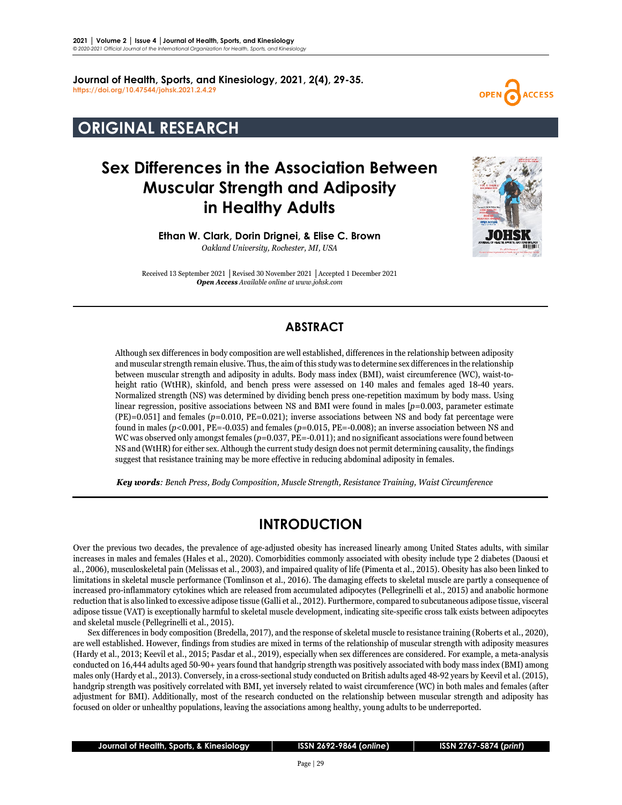**Journal of Health, Sports, and Kinesiology, 2021, 2(4), 29-35. <https://doi.org/10.47544/johsk.2021.2.4.29>**

## **ORIGINAL RESEARCH**

# **Sex Differences in the Association Between Muscular Strength and Adiposity in Healthy Adults**





**Ethan W. Clark, Dorin Drignei, & Elise C. Brown**

*Oakland University, Rochester, MI, USA*

Received 13 September 2021 **│**Revised 30 November 2021 **│**Accepted 1 December 2021 *Open Access Available online at www.johsk.com*

### **ABSTRACT**

Although sex differences in body composition are well established, differences in the relationship between adiposity and muscular strength remain elusive. Thus, the aim of this study was to determine sex differences in the relationship between muscular strength and adiposity in adults. Body mass index (BMI), waist circumference (WC), waist-toheight ratio (WtHR), skinfold, and bench press were assessed on 140 males and females aged 18-40 years. Normalized strength (NS) was determined by dividing bench press one-repetition maximum by body mass. Using linear regression, positive associations between NS and BMI were found in males [*p*=0.003, parameter estimate (PE)=0.051] and females (*p*=0.010, PE=0.021); inverse associations between NS and body fat percentage were found in males (*p*<0.001, PE=-0.035) and females (*p*=0.015, PE=-0.008); an inverse association between NS and WC was observed only amongst females ( $p=0.037$ , PE=-0.011); and no significant associations were found between NS and (WtHR) for either sex. Although the current study design does not permit determining causality, the findings suggest that resistance training may be more effective in reducing abdominal adiposity in females.

 *Key words: Bench Press, Body Composition, Muscle Strength, Resistance Training, Waist Circumference*

## **INTRODUCTION**

Over the previous two decades, the prevalence of age-adjusted obesity has increased linearly among United States adults, with similar increases in males and females (Hales et al., 2020). Comorbidities commonly associated with obesity include type 2 diabetes (Daousi et al., 2006), musculoskeletal pain (Melissas et al., 2003), and impaired quality of life (Pimenta et al., 2015). Obesity has also been linked to limitations in skeletal muscle performance (Tomlinson et al., 2016). The damaging effects to skeletal muscle are partly a consequence of increased pro-inflammatory cytokines which are released from accumulated adipocytes (Pellegrinelli et al., 2015) and anabolic hormone reduction that is also linked to excessive adipose tissue (Galli et al., 2012). Furthermore, compared to subcutaneous adipose tissue, visceral adipose tissue (VAT) is exceptionally harmful to skeletal muscle development, indicating site-specific cross talk exists between adipocytes and skeletal muscle (Pellegrinelli et al., 2015).

Sex differences in body composition (Bredella, 2017), and the response of skeletal muscle to resistance training (Roberts et al*.*, 2020), are well established. However, findings from studies are mixed in terms of the relationship of muscular strength with adiposity measures (Hardy et al., 2013; Keevil et al., 2015; Pasdar et al., 2019), especially when sex differences are considered. For example, a meta-analysis conducted on 16,444 adults aged 50-90+ years found that handgrip strength was positively associated with body mass index (BMI) among males only (Hardy et al., 2013). Conversely, in a cross-sectional study conducted on British adults aged 48-92 years by Keevil et al. (2015), handgrip strength was positively correlated with BMI, yet inversely related to waist circumference (WC) in both males and females (after adjustment for BMI). Additionally, most of the research conducted on the relationship between muscular strength and adiposity has focused on older or unhealthy populations, leaving the associations among healthy, young adults to be underreported.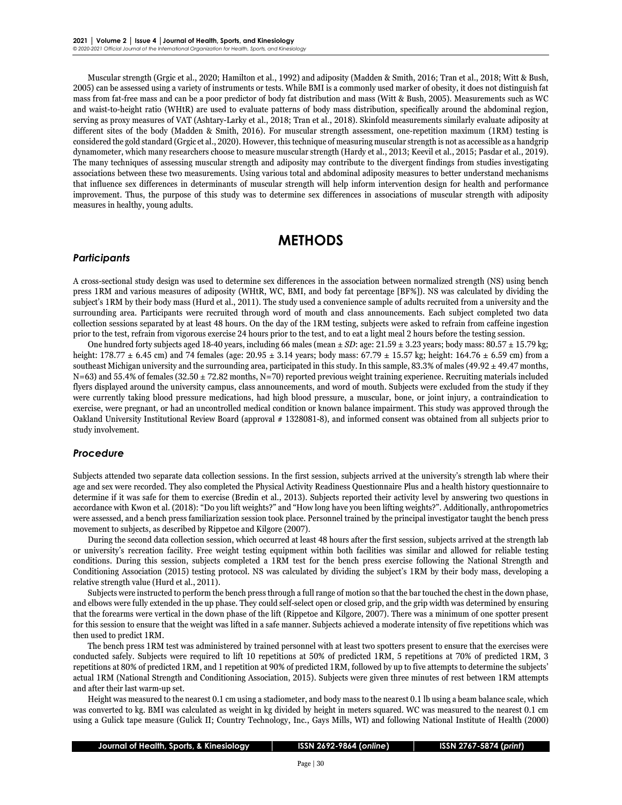Muscular strength (Grgic et al., 2020; Hamilton et al., 1992) and adiposity (Madden & Smith, 2016; Tran et al., 2018; Witt & Bush, 2005) can be assessed using a variety of instruments or tests. While BMI is a commonly used marker of obesity, it does not distinguish fat mass from fat-free mass and can be a poor predictor of body fat distribution and mass (Witt & Bush, 2005). Measurements such as WC and waist-to-height ratio (WHtR) are used to evaluate patterns of body mass distribution, specifically around the abdominal region, serving as proxy measures of VAT (Ashtary-Larky et al., 2018; Tran et al., 2018). Skinfold measurements similarly evaluate adiposity at different sites of the body (Madden & Smith, 2016). For muscular strength assessment, one-repetition maximum (1RM) testing is considered the gold standard (Grgic et al., 2020). However, this technique of measuring muscular strength is not as accessible as a handgrip dynamometer, which many researchers choose to measure muscular strength (Hardy et al., 2013; Keevil et al., 2015; Pasdar et al., 2019). The many techniques of assessing muscular strength and adiposity may contribute to the divergent findings from studies investigating associations between these two measurements. Using various total and abdominal adiposity measures to better understand mechanisms that influence sex differences in determinants of muscular strength will help inform intervention design for health and performance improvement. Thus, the purpose of this study was to determine sex differences in associations of muscular strength with adiposity measures in healthy, young adults.

### **METHODS**

#### *Participants*

A cross-sectional study design was used to determine sex differences in the association between normalized strength (NS) using bench press 1RM and various measures of adiposity (WHtR, WC, BMI, and body fat percentage [BF%]). NS was calculated by dividing the subject's 1RM by their body mass (Hurd et al., 2011). The study used a convenience sample of adults recruited from a university and the surrounding area. Participants were recruited through word of mouth and class announcements. Each subject completed two data collection sessions separated by at least 48 hours. On the day of the 1RM testing, subjects were asked to refrain from caffeine ingestion prior to the test, refrain from vigorous exercise 24 hours prior to the test, and to eat a light meal 2 hours before the testing session.

One hundred forty subjects aged 18-40 years, including 66 males (mean  $\pm SD$ : age: 21.59  $\pm$  3.23 years; body mass: 80.57  $\pm$  15.79 kg; height: 178.77 ± 6.45 cm) and 74 females (age: 20.95 ± 3.14 years; body mass: 67.79 ± 15.57 kg; height: 164.76 ± 6.59 cm) from a southeast Michigan university and the surrounding area, participated in this study. In this sample, 83.3% of males (49.92  $\pm$  49.47 months,  $N=63$ ) and 55.4% of females (32.50  $\pm$  72.82 months, N=70) reported previous weight training experience. Recruiting materials included flyers displayed around the university campus, class announcements, and word of mouth. Subjects were excluded from the study if they were currently taking blood pressure medications, had high blood pressure, a muscular, bone, or joint injury, a contraindication to exercise, were pregnant, or had an uncontrolled medical condition or known balance impairment. This study was approved through the Oakland University Institutional Review Board (approval # 1328081-8), and informed consent was obtained from all subjects prior to study involvement.

#### *Procedure*

Subjects attended two separate data collection sessions. In the first session, subjects arrived at the university's strength lab where their age and sex were recorded. They also completed the Physical Activity Readiness Questionnaire Plus and a health history questionnaire to determine if it was safe for them to exercise (Bredin et al., 2013). Subjects reported their activity level by answering two questions in accordance with Kwon et al. (2018): "Do you lift weights?" and "How long have you been lifting weights?". Additionally, anthropometrics were assessed, and a bench press familiarization session took place. Personnel trained by the principal investigator taught the bench press movement to subjects, as described by Rippetoe and Kilgore (2007).

During the second data collection session, which occurred at least 48 hours after the first session, subjects arrived at the strength lab or university's recreation facility. Free weight testing equipment within both facilities was similar and allowed for reliable testing conditions. During this session, subjects completed a 1RM test for the bench press exercise following the National Strength and Conditioning Association (2015) testing protocol. NS was calculated by dividing the subject's 1RM by their body mass, developing a relative strength value (Hurd et al., 2011).

Subjects were instructed to perform the bench press through a full range of motion so that the bar touched the chest in the down phase, and elbows were fully extended in the up phase. They could self-select open or closed grip, and the grip width was determined by ensuring that the forearms were vertical in the down phase of the lift (Rippetoe and Kilgore, 2007). There was a minimum of one spotter present for this session to ensure that the weight was lifted in a safe manner. Subjects achieved a moderate intensity of five repetitions which was then used to predict 1RM.

The bench press 1RM test was administered by trained personnel with at least two spotters present to ensure that the exercises were conducted safely. Subjects were required to lift 10 repetitions at 50% of predicted 1RM, 5 repetitions at 70% of predicted 1RM, 3 repetitions at 80% of predicted 1RM, and 1 repetition at 90% of predicted 1RM, followed by up to five attempts to determine the subjects' actual 1RM (National Strength and Conditioning Association, 2015). Subjects were given three minutes of rest between 1RM attempts and after their last warm-up set.

Height was measured to the nearest 0.1 cm using a stadiometer, and body mass to the nearest 0.1 lb using a beam balance scale, which was converted to kg. BMI was calculated as weight in kg divided by height in meters squared. WC was measured to the nearest 0.1 cm using a Gulick tape measure (Gulick II; Country Technology, Inc., Gays Mills, WI) and following National Institute of Health (2000)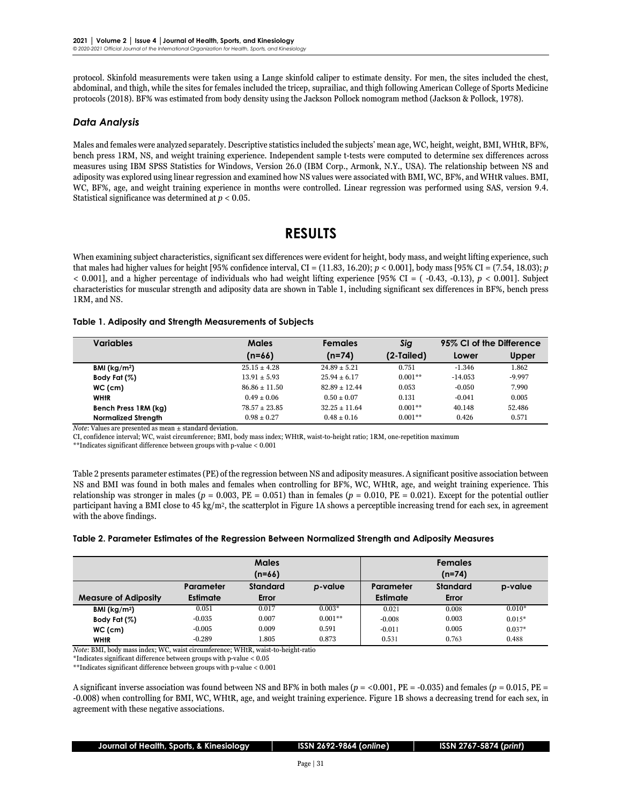protocol. Skinfold measurements were taken using a Lange skinfold caliper to estimate density. For men, the sites included the chest, abdominal, and thigh, while the sites for females included the tricep, suprailiac, and thigh following American College of Sports Medicine protocols (2018). BF% was estimated from body density using the Jackson Pollock nomogram method (Jackson & Pollock, 1978).

#### *Data Analysis*

Males and females were analyzed separately. Descriptive statistics included the subjects' mean age, WC, height, weight, BMI, WHtR, BF%, bench press 1RM, NS, and weight training experience. Independent sample t-tests were computed to determine sex differences across measures using IBM SPSS Statistics for Windows, Version 26.0 (IBM Corp., Armonk, N.Y., USA). The relationship between NS and adiposity was explored using linear regression and examined how NS values were associated with BMI, WC, BF%, and WHtR values. BMI, WC, BF%, age, and weight training experience in months were controlled. Linear regression was performed using SAS, version 9.4. Statistical significance was determined at *p* < 0.05.

### **RESULTS**

When examining subject characteristics, significant sex differences were evident for height, body mass, and weight lifting experience, such that males had higher values for height [95% confidence interval, CI = (11.83, 16.20); *p* < 0.001], body mass [95% CI = (7.54, 18.03); *p*  $< 0.001$ ], and a higher percentage of individuals who had weight lifting experience [95% CI = ( $-0.43, -0.13$ ),  $p < 0.001$ ]. Subject characteristics for muscular strength and adiposity data are shown in Table 1, including significant sex differences in BF%, bench press 1RM, and NS.

#### **Table 1. Adiposity and Strength Measurements of Subjects**

| <b>Variables</b>           | <b>Males</b>      | Females          | Sig        | 95% CI of the Difference |          |
|----------------------------|-------------------|------------------|------------|--------------------------|----------|
|                            | $(n=66)$          | $(n=74)$         | (2-Tailed) | Lower                    | Upper    |
| BMI ( $kg/m2$ )            | $25.15 \pm 4.28$  | $24.89 \pm 5.21$ | 0.751      | $-1.346$                 | 1.862    |
| Body Fat (%)               | $13.91 \pm 5.93$  | $25.94 \pm 6.17$ | $0.001**$  | $-14.053$                | $-9.997$ |
| $WC$ (cm)                  | $86.86 \pm 11.50$ | $82.89 + 12.44$  | 0.053      | $-0.050$                 | 7.990    |
| <b>WHIR</b>                | $0.49 \pm 0.06$   | $0.50 \pm 0.07$  | 0.131      | $-0.041$                 | 0.005    |
| Bench Press 1RM (kg)       | $78.57 + 23.85$   | $32.25 + 11.64$  | $0.001**$  | 40.148                   | 52.486   |
| <b>Normalized Strength</b> | $0.98 \pm 0.27$   | $0.48 \pm 0.16$  | $0.001**$  | 0.426                    | 0.571    |

*Note*: Values are presented as mean ± standard deviation.

CI, confidence interval; WC, waist circumference; BMI, body mass index; WHtR, waist-to-height ratio; 1RM, one-repetition maximum

\*\*Indicates significant difference between groups with p-value < 0.001

Table 2 presents parameter estimates (PE) of the regression between NS and adiposity measures. A significant positive association between NS and BMI was found in both males and females when controlling for BF%, WC, WHtR, age, and weight training experience. This relationship was stronger in males ( $p = 0.003$ ,  $PE = 0.051$ ) than in females ( $p = 0.010$ ,  $PE = 0.021$ ). Except for the potential outlier participant having a BMI close to 45 kg/m2, the scatterplot in Figure 1A shows a perceptible increasing trend for each sex, in agreement with the above findings.

#### **Table 2. Parameter Estimates of the Regression Between Normalized Strength and Adiposity Measures**

|                             | <b>Males</b>    |                 |           | <b>Females</b> |                 |          |
|-----------------------------|-----------------|-----------------|-----------|----------------|-----------------|----------|
|                             | $(n=66)$        |                 |           | $(n=74)$       |                 |          |
|                             | Parameter       | <b>Standard</b> | p-value   | Parameter      | <b>Standard</b> | p-value  |
| <b>Measure of Adiposity</b> | <b>Estimate</b> | Error           |           | Estimate       | Error           |          |
| BMI ( $kg/m2$ )             | 0.051           | 0.017           | $0.003*$  | 0.021          | 0.008           | $0.010*$ |
| Body Fat (%)                | $-0.035$        | 0.007           | $0.001**$ | $-0.008$       | 0.003           | $0.015*$ |
| $WC$ (cm)                   | $-0.005$        | 0.009           | 0.591     | $-0.011$       | 0.005           | $0.037*$ |
| <b>WHIR</b>                 | $-0.289$        | 1.805           | 0.873     | 0.531          | 0.763           | 0.488    |

*Note*: BMI, body mass index; WC, waist circumference; WHtR, waist-to-height-ratio

\*Indicates significant difference between groups with p-value < 0.05

 $\mathrm{^{**}}$  Indicates significant difference between groups with p-value  $<0.001$ 

A significant inverse association was found between NS and BF% in both males (*p* = <0.001, PE = -0.035) and females (*p =* 0.015, PE = -0.008) when controlling for BMI, WC, WHtR, age, and weight training experience. Figure 1B shows a decreasing trend for each sex, in agreement with these negative associations.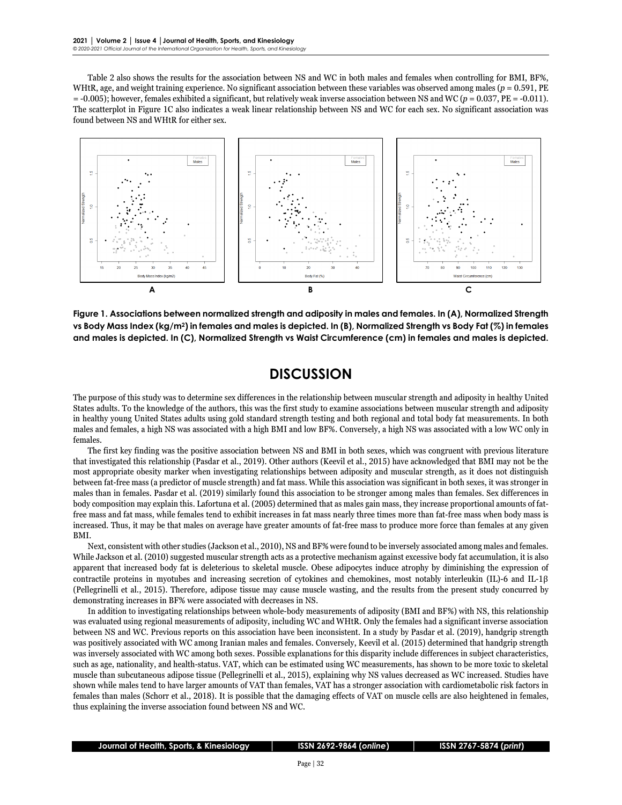Table 2 also shows the results for the association between NS and WC in both males and females when controlling for BMI, BF%, WHtR, age, and weight training experience. No significant association between these variables was observed among males  $(p = 0.591, PE$ = -0.005); however, females exhibited a significant, but relatively weak inverse association between NS and WC (*p* = 0.037, PE = -0.011). The scatterplot in Figure 1C also indicates a weak linear relationship between NS and WC for each sex. No significant association was found between NS and WHtR for either sex.



**Figure 1. Associations between normalized strength and adiposity in males and females. In (A), Normalized Strength vs Body Mass Index (kg/m2) in females and males is depicted. In (B), Normalized Strength vs Body Fat (%) in females and males is depicted. In (C), Normalized Strength vs Waist Circumference (cm) in females and males is depicted.** 

### **DISCUSSION**

The purpose of this study was to determine sex differences in the relationship between muscular strength and adiposity in healthy United States adults. To the knowledge of the authors, this was the first study to examine associations between muscular strength and adiposity in healthy young United States adults using gold standard strength testing and both regional and total body fat measurements. In both males and females, a high NS was associated with a high BMI and low BF%. Conversely, a high NS was associated with a low WC only in females.

The first key finding was the positive association between NS and BMI in both sexes, which was congruent with previous literature that investigated this relationship (Pasdar et al., 2019). Other authors (Keevil et al., 2015) have acknowledged that BMI may not be the most appropriate obesity marker when investigating relationships between adiposity and muscular strength, as it does not distinguish between fat-free mass (a predictor of muscle strength) and fat mass. While this association was significant in both sexes, it was stronger in males than in females. Pasdar et al. (2019) similarly found this association to be stronger among males than females. Sex differences in body composition may explain this. Lafortuna et al. (2005) determined that as males gain mass, they increase proportional amounts of fatfree mass and fat mass, while females tend to exhibit increases in fat mass nearly three times more than fat-free mass when body mass is increased. Thus, it may be that males on average have greater amounts of fat-free mass to produce more force than females at any given BMI.

Next, consistent with other studies (Jackson et al., 2010), NS and BF% were found to be inversely associated among males and females. While Jackson et al. (2010) suggested muscular strength acts as a protective mechanism against excessive body fat accumulation, it is also apparent that increased body fat is deleterious to skeletal muscle. Obese adipocytes induce atrophy by diminishing the expression of contractile proteins in myotubes and increasing secretion of cytokines and chemokines, most notably interleukin (IL)-6 and IL-1β (Pellegrinelli et al., 2015). Therefore, adipose tissue may cause muscle wasting, and the results from the present study concurred by demonstrating increases in BF% were associated with decreases in NS.

In addition to investigating relationships between whole-body measurements of adiposity (BMI and BF%) with NS, this relationship was evaluated using regional measurements of adiposity, including WC and WHtR. Only the females had a significant inverse association between NS and WC. Previous reports on this association have been inconsistent. In a study by Pasdar et al. (2019), handgrip strength was positively associated with WC among Iranian males and females. Conversely, Keevil et al. (2015) determined that handgrip strength was inversely associated with WC among both sexes. Possible explanations for this disparity include differences in subject characteristics, such as age, nationality, and health-status. VAT, which can be estimated using WC measurements, has shown to be more toxic to skeletal muscle than subcutaneous adipose tissue (Pellegrinelli et al., 2015), explaining why NS values decreased as WC increased. Studies have shown while males tend to have larger amounts of VAT than females, VAT has a stronger association with cardiometabolic risk factors in females than males (Schorr et al., 2018). It is possible that the damaging effects of VAT on muscle cells are also heightened in females, thus explaining the inverse association found between NS and WC.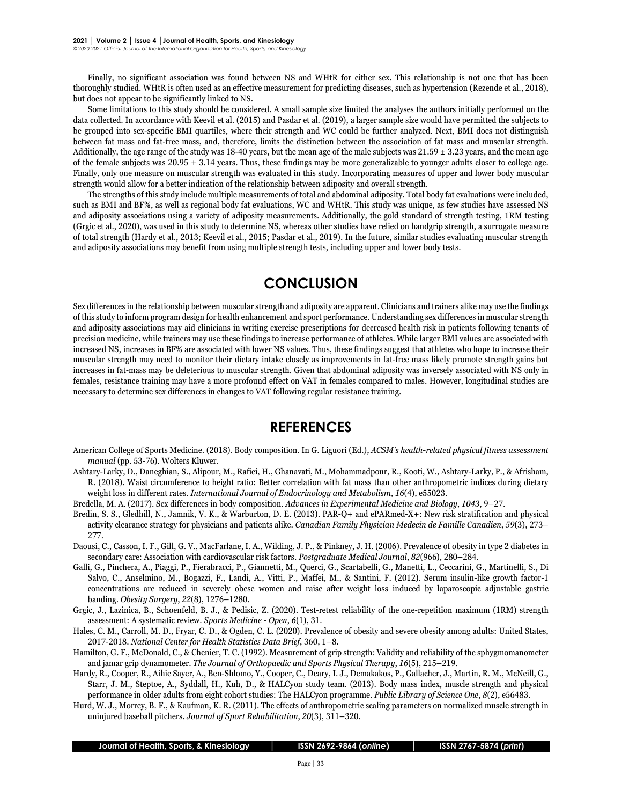Finally, no significant association was found between NS and WHtR for either sex. This relationship is not one that has been thoroughly studied. WHtR is often used as an effective measurement for predicting diseases, such as hypertension (Rezende et al., 2018), but does not appear to be significantly linked to NS.

Some limitations to this study should be considered. A small sample size limited the analyses the authors initially performed on the data collected. In accordance with Keevil et al. (2015) and Pasdar et al. (2019), a larger sample size would have permitted the subjects to be grouped into sex-specific BMI quartiles, where their strength and WC could be further analyzed. Next, BMI does not distinguish between fat mass and fat-free mass, and, therefore, limits the distinction between the association of fat mass and muscular strength. Additionally, the age range of the study was 18-40 years, but the mean age of the male subjects was  $21.59 \pm 3.23$  years, and the mean age of the female subjects was  $20.95 \pm 3.14$  years. Thus, these findings may be more generalizable to younger adults closer to college age. Finally, only one measure on muscular strength was evaluated in this study. Incorporating measures of upper and lower body muscular strength would allow for a better indication of the relationship between adiposity and overall strength.

The strengths of this study include multiple measurements of total and abdominal adiposity. Total body fat evaluations were included, such as BMI and BF%, as well as regional body fat evaluations, WC and WHtR. This study was unique, as few studies have assessed NS and adiposity associations using a variety of adiposity measurements. Additionally, the gold standard of strength testing, 1RM testing (Grgic et al., 2020), was used in this study to determine NS, whereas other studies have relied on handgrip strength, a surrogate measure of total strength (Hardy et al., 2013; Keevil et al., 2015; Pasdar et al., 2019). In the future, similar studies evaluating muscular strength and adiposity associations may benefit from using multiple strength tests, including upper and lower body tests.

### **CONCLUSION**

Sex differences in the relationship between muscular strength and adiposity are apparent. Clinicians and trainers alike may use the findings of this study to inform program design for health enhancement and sport performance. Understanding sex differences in muscular strength and adiposity associations may aid clinicians in writing exercise prescriptions for decreased health risk in patients following tenants of precision medicine, while trainers may use these findings to increase performance of athletes. While larger BMI values are associated with increased NS, increases in BF% are associated with lower NS values. Thus, these findings suggest that athletes who hope to increase their muscular strength may need to monitor their dietary intake closely as improvements in fat-free mass likely promote strength gains but increases in fat-mass may be deleterious to muscular strength. Given that abdominal adiposity was inversely associated with NS only in females, resistance training may have a more profound effect on VAT in females compared to males. However, longitudinal studies are necessary to determine sex differences in changes to VAT following regular resistance training.

### **REFERENCES**

- American College of Sports Medicine. (2018). Body composition. In G. Liguori (Ed.), *ACSM's health-related physical fitness assessment manual* (pp. 53-76). Wolters Kluwer.
- Ashtary-Larky, D., Daneghian, S., Alipour, M., Rafiei, H., Ghanavati, M., Mohammadpour, R., Kooti, W., Ashtary-Larky, P., & Afrisham, R. (2018). Waist circumference to height ratio: Better correlation with fat mass than other anthropometric indices during dietary weight loss in different rates. *International Journal of Endocrinology and Metabolism*, *16*(4), e55023.

Bredella, M. A. (2017). Sex differences in body composition. *Advances in Experimental Medicine and Biology*, *1043*, 9–27.

Bredin, S. S., Gledhill, N., Jamnik, V. K., & Warburton, D. E. (2013). PAR-Q+ and ePARmed-X+: New risk stratification and physical activity clearance strategy for physicians and patients alike. *Canadian Family Physician Medecin de Famille Canadien*, *59*(3), 273– 277.

Daousi, C., Casson, I. F., Gill, G. V., MacFarlane, I. A., Wilding, J. P., & Pinkney, J. H. (2006). Prevalence of obesity in type 2 diabetes in secondary care: Association with cardiovascular risk factors. *Postgraduate Medical Journal*, *82*(966), 280–284.

- Galli, G., Pinchera, A., Piaggi, P., Fierabracci, P., Giannetti, M., Querci, G., Scartabelli, G., Manetti, L., Ceccarini, G., Martinelli, S., Di Salvo, C., Anselmino, M., Bogazzi, F., Landi, A., Vitti, P., Maffei, M., & Santini, F. (2012). Serum insulin-like growth factor-1 concentrations are reduced in severely obese women and raise after weight loss induced by laparoscopic adjustable gastric banding. *Obesity Surgery*, *22*(8), 1276–1280.
- Grgic, J., Lazinica, B., Schoenfeld, B. J., & Pedisic, Z. (2020). Test-retest reliability of the one-repetition maximum (1RM) strength assessment: A systematic review. *Sports Medicine - Open*, *6*(1), 31.
- Hales, C. M., Carroll, M. D., Fryar, C. D., & Ogden, C. L. (2020). Prevalence of obesity and severe obesity among adults: United States, 2017-2018. *National Center for Health Statistics Data Brief*, 360, 1–8.
- Hamilton, G. F., McDonald, C., & Chenier, T. C. (1992). Measurement of grip strength: Validity and reliability of the sphygmomanometer and jamar grip dynamometer. *The Journal of Orthopaedic and Sports Physical Therapy*, *16*(5), 215–219.
- Hardy, R., Cooper, R., Aihie Sayer, A., Ben-Shlomo, Y., Cooper, C., Deary, I. J., Demakakos, P., Gallacher, J., Martin, R. M., McNeill, G., Starr, J. M., Steptoe, A., Syddall, H., Kuh, D., & HALCyon study team. (2013). Body mass index, muscle strength and physical performance in older adults from eight cohort studies: The HALCyon programme. *Public Library of Science One*, *8*(2), e56483.
- Hurd, W. J., Morrey, B. F., & Kaufman, K. R. (2011). The effects of anthropometric scaling parameters on normalized muscle strength in uninjured baseball pitchers. *Journal of Sport Rehabilitation*, *20*(3), 311–320.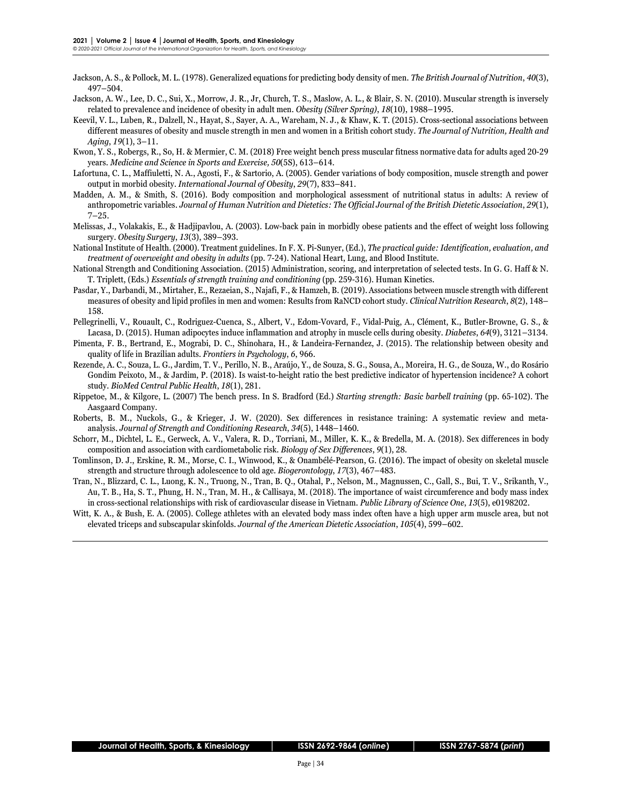- Jackson, A. S., & Pollock, M. L. (1978). Generalized equations for predicting body density of men. *The British Journal of Nutrition*, *40*(3), 497–504.
- Jackson, A. W., Lee, D. C., Sui, X., Morrow, J. R., Jr, Church, T. S., Maslow, A. L., & Blair, S. N. (2010). Muscular strength is inversely related to prevalence and incidence of obesity in adult men. *Obesity (Silver Spring)*, *18*(10), 1988–1995.
- Keevil, V. L., Luben, R., Dalzell, N., Hayat, S., Sayer, A. A., Wareham, N. J., & Khaw, K. T. (2015). Cross-sectional associations between different measures of obesity and muscle strength in men and women in a British cohort study. *The Journal of Nutrition, Health and Aging*, *19*(1), 3–11.
- Kwon, Y. S., Robergs, R., So, H. & Mermier, C. M. (2018) Free weight bench press muscular fitness normative data for adults aged 20-29 years. *Medicine and Science in Sports and Exercise, 50*(5S), 613–614.
- Lafortuna, C. L., Maffiuletti, N. A., Agosti, F., & Sartorio, A. (2005). Gender variations of body composition, muscle strength and power output in morbid obesity. *International Journal of Obesity*, *29*(7), 833–841.
- Madden, A. M., & Smith, S. (2016). Body composition and morphological assessment of nutritional status in adults: A review of anthropometric variables. *Journal of Human Nutrition and Dietetics: The Official Journal of the British Dietetic Association*, *29*(1),  $7 - 25$ .
- Melissas, J., Volakakis, E., & Hadjipavlou, A. (2003). Low-back pain in morbidly obese patients and the effect of weight loss following surgery. *Obesity Surgery*, *13*(3), 389–393.
- National Institute of Health. (2000). Treatment guidelines. In F. X. Pi-Sunyer, (Ed.), *The practical guide: Identification, evaluation, and treatment of overweight and obesity in adults* (pp. 7-24). National Heart, Lung, and Blood Institute.
- National Strength and Conditioning Association. (2015) Administration, scoring, and interpretation of selected tests. In G. G. Haff & N. T. Triplett, (Eds.) *Essentials of strength training and conditioning* (pp. 259-316). Human Kinetics.
- Pasdar, Y., Darbandi, M., Mirtaher, E., Rezaeian, S., Najafi, F., & Hamzeh, B. (2019). Associations between muscle strength with different measures of obesity and lipid profiles in men and women: Results from RaNCD cohort study. *Clinical Nutrition Research*, *8*(2), 148– 158.
- Pellegrinelli, V., Rouault, C., Rodriguez-Cuenca, S., Albert, V., Edom-Vovard, F., Vidal-Puig, A., Clément, K., Butler-Browne, G. S., & Lacasa, D. (2015). Human adipocytes induce inflammation and atrophy in muscle cells during obesity. *Diabetes*, *64*(9), 3121–3134.
- Pimenta, F. B., Bertrand, E., Mograbi, D. C., Shinohara, H., & Landeira-Fernandez, J. (2015). The relationship between obesity and quality of life in Brazilian adults. *Frontiers in Psychology*, *6*, 966.
- Rezende, A. C., Souza, L. G., Jardim, T. V., Perillo, N. B., Araújo, Y., de Souza, S. G., Sousa, A., Moreira, H. G., de Souza, W., do Rosário Gondim Peixoto, M., & Jardim, P. (2018). Is waist-to-height ratio the best predictive indicator of hypertension incidence? A cohort study. *BioMed Central Public Health*, *18*(1), 281.
- Rippetoe, M., & Kilgore, L. (2007) The bench press. In S. Bradford (Ed.) *Starting strength: Basic barbell training* (pp. 65-102). The Aasgaard Company.
- Roberts, B. M., Nuckols, G., & Krieger, J. W. (2020). Sex differences in resistance training: A systematic review and metaanalysis. *Journal of Strength and Conditioning Research*, *34*(5), 1448–1460.
- Schorr, M., Dichtel, L. E., Gerweck, A. V., Valera, R. D., Torriani, M., Miller, K. K., & Bredella, M. A. (2018). Sex differences in body composition and association with cardiometabolic risk. *Biology of Sex Differences*, *9*(1), 28.
- Tomlinson, D. J., Erskine, R. M., Morse, C. I., Winwood, K., & Onambélé-Pearson, G. (2016). The impact of obesity on skeletal muscle strength and structure through adolescence to old age. *Biogerontology*, *17*(3), 467–483.
- Tran, N., Blizzard, C. L., Luong, K. N., Truong, N., Tran, B. Q., Otahal, P., Nelson, M., Magnussen, C., Gall, S., Bui, T. V., Srikanth, V., Au, T. B., Ha, S. T., Phung, H. N., Tran, M. H., & Callisaya, M. (2018). The importance of waist circumference and body mass index in cross-sectional relationships with risk of cardiovascular disease in Vietnam. *Public Library of Science One*, *13*(5), e0198202.
- Witt, K. A., & Bush, E. A. (2005). College athletes with an elevated body mass index often have a high upper arm muscle area, but not elevated triceps and subscapular skinfolds. *Journal of the American Dietetic Association*, *105*(4), 599–602.